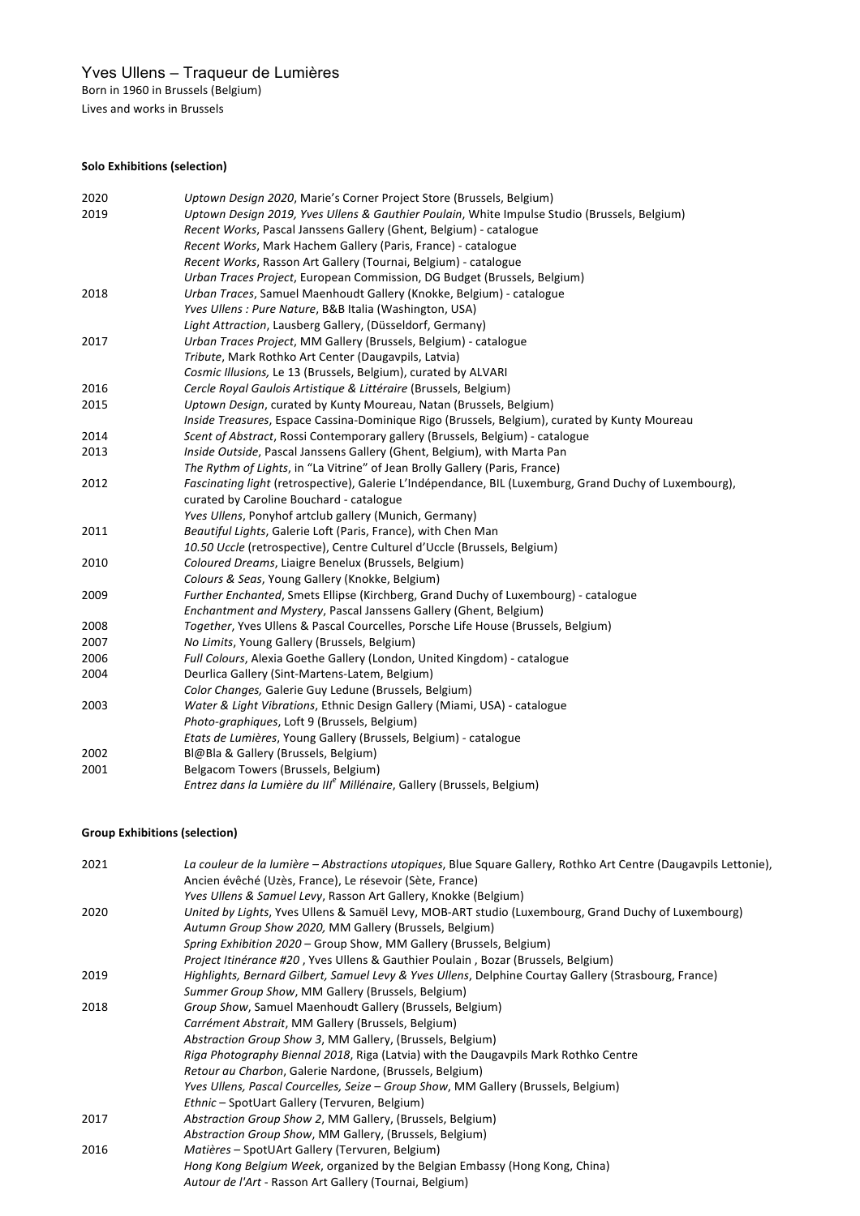# Yves Ullens – Traqueur de Lumières

Born in 1960 in Brussels (Belgium)

Lives and works in Brussels

# **Solo Exhibitions (selection)**

| 2020 | Uptown Design 2020, Marie's Corner Project Store (Brussels, Belgium)                                   |
|------|--------------------------------------------------------------------------------------------------------|
| 2019 | Uptown Design 2019, Yves Ullens & Gauthier Poulain, White Impulse Studio (Brussels, Belgium)           |
|      | Recent Works, Pascal Janssens Gallery (Ghent, Belgium) - catalogue                                     |
|      | Recent Works, Mark Hachem Gallery (Paris, France) - catalogue                                          |
|      | Recent Works, Rasson Art Gallery (Tournai, Belgium) - catalogue                                        |
|      | Urban Traces Project, European Commission, DG Budget (Brussels, Belgium)                               |
| 2018 | Urban Traces, Samuel Maenhoudt Gallery (Knokke, Belgium) - catalogue                                   |
|      | Yves Ullens : Pure Nature, B&B Italia (Washington, USA)                                                |
|      | Light Attraction, Lausberg Gallery, (Düsseldorf, Germany)                                              |
| 2017 | Urban Traces Project, MM Gallery (Brussels, Belgium) - catalogue                                       |
|      | Tribute, Mark Rothko Art Center (Daugavpils, Latvia)                                                   |
|      | Cosmic Illusions, Le 13 (Brussels, Belgium), curated by ALVARI                                         |
| 2016 | Cercle Royal Gaulois Artistique & Littéraire (Brussels, Belgium)                                       |
| 2015 | Uptown Design, curated by Kunty Moureau, Natan (Brussels, Belgium)                                     |
|      | Inside Treasures, Espace Cassina-Dominique Rigo (Brussels, Belgium), curated by Kunty Moureau          |
| 2014 | Scent of Abstract, Rossi Contemporary gallery (Brussels, Belgium) - catalogue                          |
| 2013 | Inside Outside, Pascal Janssens Gallery (Ghent, Belgium), with Marta Pan                               |
|      | The Rythm of Lights, in "La Vitrine" of Jean Brolly Gallery (Paris, France)                            |
| 2012 | Fascinating light (retrospective), Galerie L'Indépendance, BIL (Luxemburg, Grand Duchy of Luxembourg), |
|      | curated by Caroline Bouchard - catalogue                                                               |
|      | Yves Ullens, Ponyhof artclub gallery (Munich, Germany)                                                 |
| 2011 | Beautiful Lights, Galerie Loft (Paris, France), with Chen Man                                          |
|      | 10.50 Uccle (retrospective), Centre Culturel d'Uccle (Brussels, Belgium)                               |
| 2010 | Coloured Dreams, Liaigre Benelux (Brussels, Belgium)                                                   |
|      | Colours & Seas, Young Gallery (Knokke, Belgium)                                                        |
| 2009 | Further Enchanted, Smets Ellipse (Kirchberg, Grand Duchy of Luxembourg) - catalogue                    |
|      | Enchantment and Mystery, Pascal Janssens Gallery (Ghent, Belgium)                                      |
| 2008 | Together, Yves Ullens & Pascal Courcelles, Porsche Life House (Brussels, Belgium)                      |
| 2007 | No Limits, Young Gallery (Brussels, Belgium)                                                           |
| 2006 | Full Colours, Alexia Goethe Gallery (London, United Kingdom) - catalogue                               |
| 2004 | Deurlica Gallery (Sint-Martens-Latem, Belgium)                                                         |
|      | Color Changes, Galerie Guy Ledune (Brussels, Belgium)                                                  |
| 2003 | Water & Light Vibrations, Ethnic Design Gallery (Miami, USA) - catalogue                               |
|      | Photo-graphiques, Loft 9 (Brussels, Belgium)                                                           |
|      | Etats de Lumières, Young Gallery (Brussels, Belgium) - catalogue                                       |
| 2002 | Bl@Bla & Gallery (Brussels, Belgium)                                                                   |
| 2001 | Belgacom Towers (Brussels, Belgium)                                                                    |
|      | Entrez dans la Lumière du III <sup>e</sup> Millénaire, Gallery (Brussels, Belgium)                     |
|      |                                                                                                        |

# **Group Exhibitions (selection)**

| 2021 | La couleur de la lumière – Abstractions utopiques, Blue Square Gallery, Rothko Art Centre (Daugavpils Lettonie),<br>Ancien évêché (Uzès, France), Le résevoir (Sète, France) |
|------|------------------------------------------------------------------------------------------------------------------------------------------------------------------------------|
|      |                                                                                                                                                                              |
| 2020 | Yves Ullens & Samuel Levy, Rasson Art Gallery, Knokke (Belgium)<br>United by Lights, Yves Ullens & Samuël Levy, MOB-ART studio (Luxembourg, Grand Duchy of Luxembourg)       |
|      |                                                                                                                                                                              |
|      | Autumn Group Show 2020, MM Gallery (Brussels, Belgium)                                                                                                                       |
|      | Spring Exhibition 2020 – Group Show, MM Gallery (Brussels, Belgium)                                                                                                          |
|      | Project Itinérance #20, Yves Ullens & Gauthier Poulain, Bozar (Brussels, Belgium)                                                                                            |
| 2019 | Highlights, Bernard Gilbert, Samuel Levy & Yves Ullens, Delphine Courtay Gallery (Strasbourg, France)                                                                        |
|      | Summer Group Show, MM Gallery (Brussels, Belgium)                                                                                                                            |
| 2018 | Group Show, Samuel Maenhoudt Gallery (Brussels, Belgium)                                                                                                                     |
|      | Carrément Abstrait, MM Gallery (Brussels, Belgium)                                                                                                                           |
|      | Abstraction Group Show 3, MM Gallery, (Brussels, Belgium)                                                                                                                    |
|      | Riga Photography Biennal 2018, Riga (Latvia) with the Daugavpils Mark Rothko Centre                                                                                          |
|      | Retour au Charbon, Galerie Nardone, (Brussels, Belgium)                                                                                                                      |
|      | Yves Ullens, Pascal Courcelles, Seize – Group Show, MM Gallery (Brussels, Belgium)                                                                                           |
|      | Ethnic - SpotUart Gallery (Tervuren, Belgium)                                                                                                                                |
| 2017 | Abstraction Group Show 2, MM Gallery, (Brussels, Belgium)                                                                                                                    |
|      | Abstraction Group Show, MM Gallery, (Brussels, Belgium)                                                                                                                      |
| 2016 | Matières – SpotUArt Gallery (Tervuren, Belgium)                                                                                                                              |
|      | Hong Kong Belgium Week, organized by the Belgian Embassy (Hong Kong, China)                                                                                                  |
|      | Autour de l'Art - Rasson Art Gallery (Tournai, Belgium)                                                                                                                      |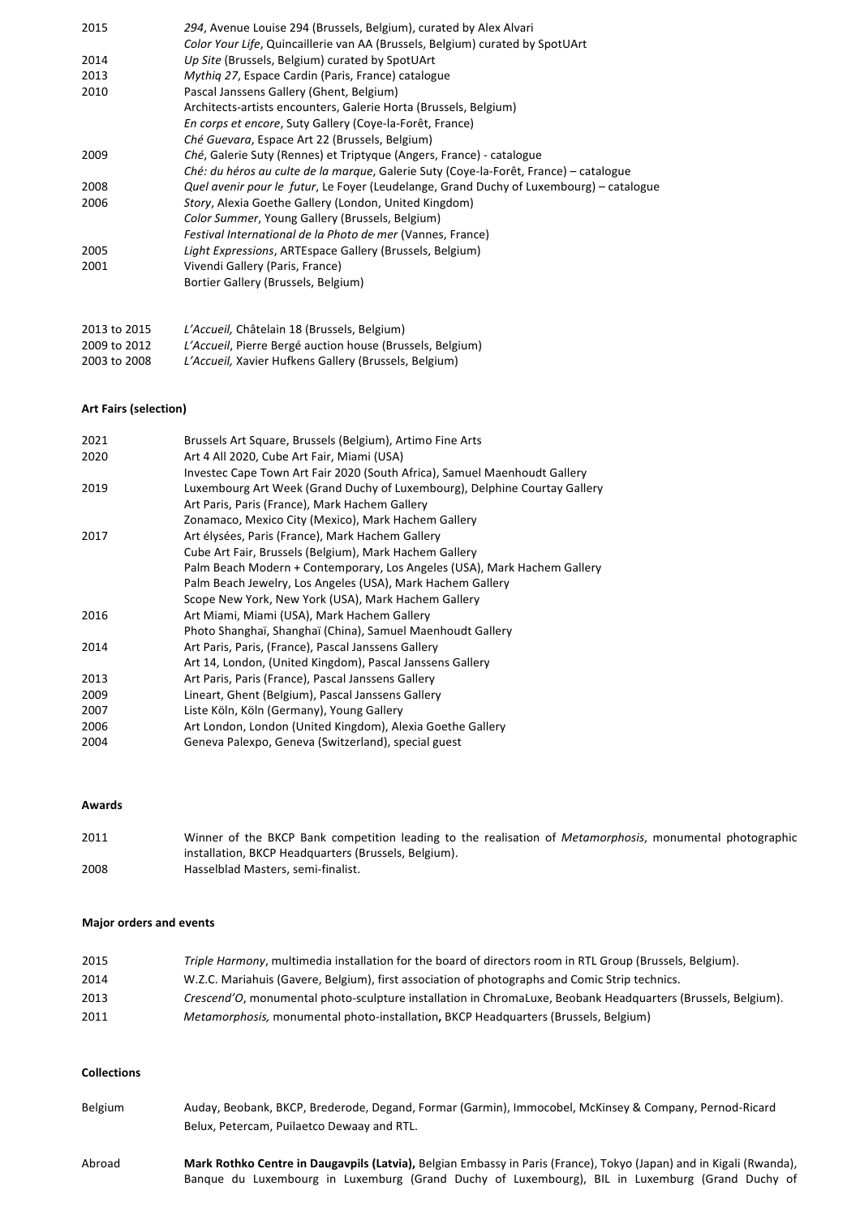| 2015         | 294, Avenue Louise 294 (Brussels, Belgium), curated by Alex Alvari                      |
|--------------|-----------------------------------------------------------------------------------------|
|              | Color Your Life, Quincaillerie van AA (Brussels, Belgium) curated by SpotUArt           |
| 2014         | Up Site (Brussels, Belgium) curated by SpotUArt                                         |
| 2013         | Mythig 27, Espace Cardin (Paris, France) catalogue                                      |
| 2010         | Pascal Janssens Gallery (Ghent, Belgium)                                                |
|              | Architects-artists encounters, Galerie Horta (Brussels, Belgium)                        |
|              | En corps et encore, Suty Gallery (Coye-la-Forêt, France)                                |
|              | Ché Guevara, Espace Art 22 (Brussels, Belgium)                                          |
| 2009         | Ché, Galerie Suty (Rennes) et Triptyque (Angers, France) - catalogue                    |
|              | Ché: du héros au culte de la marque, Galerie Suty (Coye-la-Forêt, France) – catalogue   |
| 2008         | Quel avenir pour le futur, Le Foyer (Leudelange, Grand Duchy of Luxembourg) – catalogue |
| 2006         | Story, Alexia Goethe Gallery (London, United Kingdom)                                   |
|              | Color Summer, Young Gallery (Brussels, Belgium)                                         |
|              | Festival International de la Photo de mer (Vannes, France)                              |
| 2005         | Light Expressions, ARTEspace Gallery (Brussels, Belgium)                                |
| 2001         | Vivendi Gallery (Paris, France)                                                         |
|              | Bortier Gallery (Brussels, Belgium)                                                     |
| 2013 to 2015 | L'Accueil. Châtelain 18 (Brussels. Belgium)                                             |

|              | $\sim$ , $\sim$ , $\sim$ , $\sim$ , $\sim$ , $\sim$ , $\sim$ , $\sim$ , $\sim$ , $\sim$ , $\sim$ , $\sim$ , $\sim$ , $\sim$ , $\sim$ , $\sim$ , $\sim$ , $\sim$ , $\sim$ , $\sim$ , $\sim$ , $\sim$ , $\sim$ , $\sim$ , $\sim$ , $\sim$ , $\sim$ , $\sim$ , $\sim$ , $\sim$ , $\sim$ , $\sim$ , $\sim$ , $\sim$ , $\sim$ , $\sim$ , $\sim$ , |
|--------------|----------------------------------------------------------------------------------------------------------------------------------------------------------------------------------------------------------------------------------------------------------------------------------------------------------------------------------------------|
| 2009 to 2012 | L'Accueil, Pierre Bergé auction house (Brussels, Belgium)                                                                                                                                                                                                                                                                                    |
| 2003 to 2008 | L'Accueil, Xavier Hufkens Gallery (Brussels, Belgium)                                                                                                                                                                                                                                                                                        |

#### **Art Fairs (selection)**

| 2021 | Brussels Art Square, Brussels (Belgium), Artimo Fine Arts                 |
|------|---------------------------------------------------------------------------|
| 2020 | Art 4 All 2020, Cube Art Fair, Miami (USA)                                |
|      | Investec Cape Town Art Fair 2020 (South Africa), Samuel Maenhoudt Gallery |
| 2019 | Luxembourg Art Week (Grand Duchy of Luxembourg), Delphine Courtay Gallery |
|      | Art Paris, Paris (France), Mark Hachem Gallery                            |
|      | Zonamaco, Mexico City (Mexico), Mark Hachem Gallery                       |
| 2017 | Art élysées, Paris (France), Mark Hachem Gallery                          |
|      | Cube Art Fair, Brussels (Belgium), Mark Hachem Gallery                    |
|      | Palm Beach Modern + Contemporary, Los Angeles (USA), Mark Hachem Gallery  |
|      | Palm Beach Jewelry, Los Angeles (USA), Mark Hachem Gallery                |
|      | Scope New York, New York (USA), Mark Hachem Gallery                       |
| 2016 | Art Miami, Miami (USA), Mark Hachem Gallery                               |
|      | Photo Shanghaï, Shanghaï (China), Samuel Maenhoudt Gallery                |
| 2014 | Art Paris, Paris, (France), Pascal Janssens Gallery                       |
|      | Art 14, London, (United Kingdom), Pascal Janssens Gallery                 |
| 2013 | Art Paris, Paris (France), Pascal Janssens Gallery                        |
| 2009 | Lineart, Ghent (Belgium), Pascal Janssens Gallery                         |
| 2007 | Liste Köln, Köln (Germany), Young Gallery                                 |
| 2006 | Art London, London (United Kingdom), Alexia Goethe Gallery                |
| 2004 | Geneva Palexpo, Geneva (Switzerland), special guest                       |

## **Awards**

| 2011 | Winner of the BKCP Bank competition leading to the realisation of <i>Metamorphosis</i> , monumental photographic |
|------|------------------------------------------------------------------------------------------------------------------|
|      | installation, BKCP Headquarters (Brussels, Belgium).                                                             |
| 2008 | Hasselblad Masters, semi-finalist.                                                                               |

### **Major orders and events**

| 2015 | Triple Harmony, multimedia installation for the board of directors room in RTL Group (Brussels, Belgium).    |
|------|--------------------------------------------------------------------------------------------------------------|
| 2014 | W.Z.C. Mariahuis (Gavere, Belgium), first association of photographs and Comic Strip technics.               |
| 2013 | Crescend'O, monumental photo-sculpture installation in ChromaLuxe, Beobank Headquarters (Brussels, Belgium). |
| 2011 | <i>Metamorphosis, monumental photo-installation, BKCP Headquarters (Brussels, Belgium)</i>                   |

## **Collections**

| Belgium | Auday, Beobank, BKCP, Brederode, Degand, Formar (Garmin), Immocobel, McKinsey & Company, Pernod-Ricard              |
|---------|---------------------------------------------------------------------------------------------------------------------|
|         | Belux, Petercam, Puilaetco Dewaay and RTL.                                                                          |
| Abroad  | Mark Rothko Centre in Daugavpils (Latvia), Belgian Embassy in Paris (France), Tokyo (Japan) and in Kigali (Rwanda), |
|         | Banque du Luxembourg in Luxemburg (Grand Duchy of Luxembourg), BIL in Luxemburg (Grand Duchy of                     |